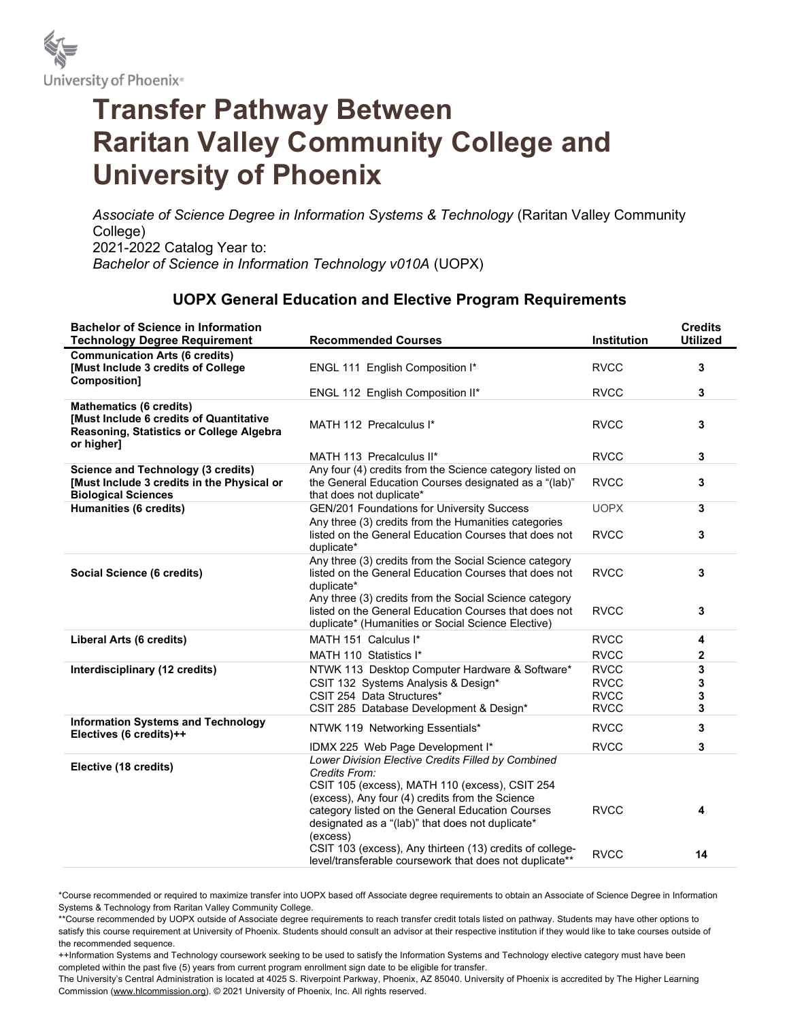

## Transfer Pathway Between Raritan Valley Community College and University of Phoenix

Associate of Science Degree in Information Systems & Technology (Raritan Valley Community College) 2021-2022 Catalog Year to: Bachelor of Science in Information Technology v010A (UOPX)

## UOPX General Education and Elective Program Requirements

| <b>Bachelor of Science in Information</b><br><b>Technology Degree Requirement</b>                                                   | <b>Recommended Courses</b>                                                                                                                                                              | <b>Institution</b> | <b>Credits</b><br><b>Utilized</b> |
|-------------------------------------------------------------------------------------------------------------------------------------|-----------------------------------------------------------------------------------------------------------------------------------------------------------------------------------------|--------------------|-----------------------------------|
| <b>Communication Arts (6 credits)</b><br>[Must Include 3 credits of College]<br>Composition]                                        | ENGL 111 English Composition I*                                                                                                                                                         | <b>RVCC</b>        | 3                                 |
|                                                                                                                                     | ENGL 112 English Composition II*                                                                                                                                                        | <b>RVCC</b>        | 3                                 |
| <b>Mathematics (6 credits)</b><br>[Must Include 6 credits of Quantitative<br>Reasoning, Statistics or College Algebra<br>or higher] | MATH 112 Precalculus I*                                                                                                                                                                 | <b>RVCC</b>        | 3                                 |
|                                                                                                                                     | MATH 113 Precalculus II*                                                                                                                                                                | <b>RVCC</b>        | 3                                 |
| <b>Science and Technology (3 credits)</b><br>[Must Include 3 credits in the Physical or<br><b>Biological Sciences</b>               | Any four (4) credits from the Science category listed on<br>the General Education Courses designated as a "(lab)"<br>that does not duplicate*                                           | <b>RVCC</b>        | 3                                 |
| Humanities (6 credits)                                                                                                              | <b>GEN/201 Foundations for University Success</b><br>Any three (3) credits from the Humanities categories                                                                               | <b>UOPX</b>        | 3                                 |
|                                                                                                                                     | listed on the General Education Courses that does not<br>duplicate*                                                                                                                     | <b>RVCC</b>        | 3                                 |
| <b>Social Science (6 credits)</b>                                                                                                   | Any three (3) credits from the Social Science category<br>listed on the General Education Courses that does not<br>duplicate*<br>Any three (3) credits from the Social Science category | <b>RVCC</b>        | 3                                 |
|                                                                                                                                     | listed on the General Education Courses that does not<br>duplicate* (Humanities or Social Science Elective)                                                                             | <b>RVCC</b>        | 3                                 |
| <b>Liberal Arts (6 credits)</b>                                                                                                     | MATH 151 Calculus I*                                                                                                                                                                    | <b>RVCC</b>        | 4                                 |
|                                                                                                                                     | MATH 110 Statistics I*                                                                                                                                                                  | <b>RVCC</b>        | 2                                 |
| Interdisciplinary (12 credits)                                                                                                      | NTWK 113 Desktop Computer Hardware & Software*                                                                                                                                          | <b>RVCC</b>        | 3                                 |
|                                                                                                                                     | CSIT 132 Systems Analysis & Design*                                                                                                                                                     | <b>RVCC</b>        | 3                                 |
|                                                                                                                                     | CSIT 254 Data Structures*                                                                                                                                                               | <b>RVCC</b>        | 3                                 |
|                                                                                                                                     | CSIT 285 Database Development & Design*                                                                                                                                                 | <b>RVCC</b>        | 3                                 |
| <b>Information Systems and Technology</b><br>Electives (6 credits)++                                                                | NTWK 119 Networking Essentials*                                                                                                                                                         | <b>RVCC</b>        | 3                                 |
|                                                                                                                                     | IDMX 225 Web Page Development I*                                                                                                                                                        | <b>RVCC</b>        | 3                                 |
| Elective (18 credits)                                                                                                               | Lower Division Elective Credits Filled by Combined<br>Credits From:<br>CSIT 105 (excess), MATH 110 (excess), CSIT 254                                                                   |                    |                                   |
|                                                                                                                                     | (excess), Any four (4) credits from the Science<br>category listed on the General Education Courses<br>designated as a "(lab)" that does not duplicate*<br>(excess)                     | <b>RVCC</b>        | 4                                 |
|                                                                                                                                     | CSIT 103 (excess), Any thirteen (13) credits of college-<br>level/transferable coursework that does not duplicate**                                                                     | <b>RVCC</b>        | 14                                |

\*Course recommended or required to maximize transfer into UOPX based off Associate degree requirements to obtain an Associate of Science Degree in Information Systems & Technology from Raritan Valley Community College.

\*\*Course recommended by UOPX outside of Associate degree requirements to reach transfer credit totals listed on pathway. Students may have other options to satisfy this course requirement at University of Phoenix. Students should consult an advisor at their respective institution if they would like to take courses outside of the recommended sequence.

++Information Systems and Technology coursework seeking to be used to satisfy the Information Systems and Technology elective category must have been completed within the past five (5) years from current program enrollment sign date to be eligible for transfer.

The University's Central Administration is located at 4025 S. Riverpoint Parkway, Phoenix, AZ 85040. University of Phoenix is accredited by The Higher Learning Commission (www.hlcommission.org). © 2021 University of Phoenix, Inc. All rights reserved.